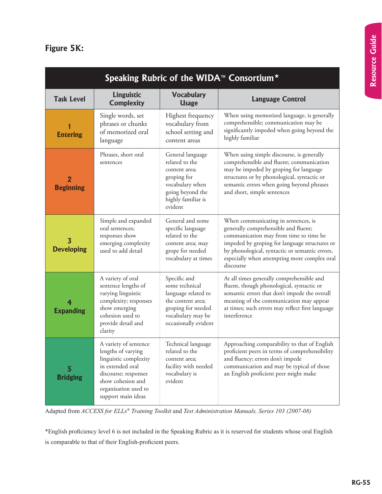## **Figure 5K:**

| Speaking Rubric of the WIDA <sup>™</sup> Consortium <sup>*</sup> |                                                                                                                                                                                     |                                                                                                                                               |                                                                                                                                                                                                                                                                                       |  |
|------------------------------------------------------------------|-------------------------------------------------------------------------------------------------------------------------------------------------------------------------------------|-----------------------------------------------------------------------------------------------------------------------------------------------|---------------------------------------------------------------------------------------------------------------------------------------------------------------------------------------------------------------------------------------------------------------------------------------|--|
| <b>Task Level</b>                                                | Linguistic<br><b>Complexity</b>                                                                                                                                                     | <b>Vocabulary</b><br><b>Usage</b>                                                                                                             | <b>Language Control</b>                                                                                                                                                                                                                                                               |  |
| <b>Entering</b>                                                  | Single words, set<br>phrases or chunks<br>of memorized oral<br>language                                                                                                             | Highest frequency<br>vocabulary from<br>school setting and<br>content areas                                                                   | When using memorized language, is generally<br>comprehensible; communication may be<br>significantly impeded when going beyond the<br>highly familiar                                                                                                                                 |  |
| 2<br><b>Beginning</b>                                            | Phrases, short oral<br>sentences                                                                                                                                                    | General language<br>related to the<br>content area;<br>groping for<br>vocabulary when<br>going beyond the<br>highly familiar is<br>evident    | When using simple discourse, is generally<br>comprehensible and fluent; communication<br>may be impeded by groping for language<br>structures or by phonological, syntactic or<br>semantic errors when going beyond phrases<br>and short, simple sentences                            |  |
| 3<br><b>Developing</b>                                           | Simple and expanded<br>oral sentences;<br>responses show<br>emerging complexity<br>used to add detail                                                                               | General and some<br>specific language<br>related to the<br>content area; may<br>grope for needed<br>vocabulary at times                       | When communicating in sentences, is<br>generally comprehensible and fluent;<br>communication may from time to time be<br>impeded by groping for language structures or<br>by phonological, syntactic or semantic errors,<br>especially when attempting more complex oral<br>discourse |  |
| <b>Expanding</b>                                                 | A variety of oral<br>sentence lengths of<br>varying linguistic<br>complexity; responses<br>show emerging<br>cohesion used to<br>provide detail and<br>clarity                       | Specific and<br>some technical<br>language related to<br>the content area;<br>groping for needed<br>vocabulary may be<br>occasionally evident | At all times generally comprehensible and<br>fluent, though phonological, syntactic or<br>semantic errors that don't impede the overall<br>meaning of the communication may appear<br>at times; such errors may reflect first language<br>interference                                |  |
| 5<br><b>Bridging</b>                                             | A variety of sentence<br>lengths of varying<br>linguistic complexity<br>in extended oral<br>discourse; responses<br>show cohesion and<br>organization used to<br>support main ideas | Technical language<br>related to the<br>content area;<br>facility with needed<br>vocabulary is<br>evident                                     | Approaching comparability to that of English<br>proficient peers in terms of comprehensibility<br>and fluency; errors don't impede<br>communication and may be typical of those<br>an English proficient peer might make                                                              |  |

Adapted from *ACCESS for ELLs® Training Toolkit* and *Test Administration Manuals, Series 103 (2007-08)* 

\*English proficiency level 6 is not included in the Speaking Rubric as it is reserved for students whose oral English is comparable to that of their English-proficient peers.